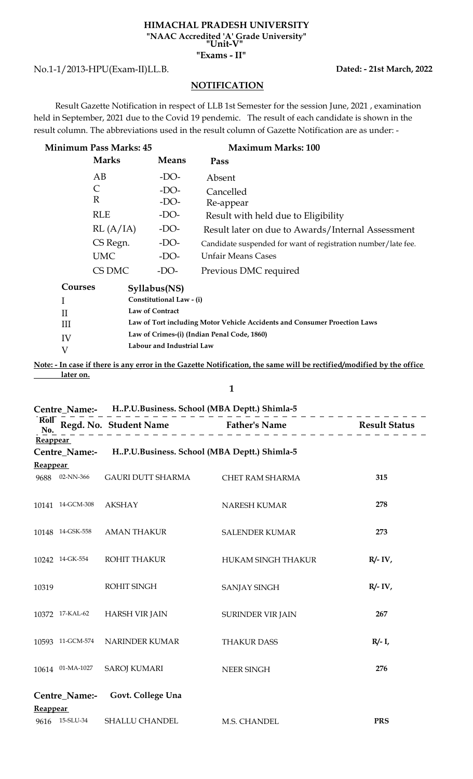## **HIMACHAL PRADESH UNIVERSITY "Unit-V" "NAAC Accredited 'A' Grade University"**

**"Exams - II"**

No.1-1/2013-HPU(Exam-II)LL.B.

**Dated: - 21st March, 2022**

## **NOTIFICATION**

 Result Gazette Notification in respect of LLB 1st Semester for the session June, 2021 , examination held in September, 2021 due to the Covid 19 pendemic. The result of each candidate is shown in the result column. The abbreviations used in the result column of Gazette Notification are as under: -

| <b>Minimum Pass Marks: 45</b> |                                                                           |                           | <b>Maximum Marks: 100</b>                                     |  |
|-------------------------------|---------------------------------------------------------------------------|---------------------------|---------------------------------------------------------------|--|
|                               | <b>Marks</b>                                                              | <b>Means</b>              | Pass                                                          |  |
|                               | AB                                                                        | $-DO-$                    | Absent                                                        |  |
|                               | C                                                                         | $-DO-$                    | Cancelled                                                     |  |
|                               | R                                                                         | $-DO-$                    | Re-appear                                                     |  |
|                               | RLE                                                                       | $-DO-$                    | Result with held due to Eligibility                           |  |
|                               | RL(A/IA)                                                                  | $-DO-$                    | Result later on due to Awards/Internal Assessment             |  |
|                               | CS Regn.                                                                  | $-DO-$                    | Candidate suspended for want of registration number/late fee. |  |
|                               | <b>UMC</b>                                                                | $-DO-$                    | <b>Unfair Means Cases</b>                                     |  |
|                               | CS DMC                                                                    | $-DO-$                    | Previous DMC required                                         |  |
| <b>Courses</b>                |                                                                           | Syllabus(NS)              |                                                               |  |
| 1                             | Constitutional Law - (i)                                                  |                           |                                                               |  |
| $_{\rm II}$                   | <b>Law of Contract</b>                                                    |                           |                                                               |  |
| Ш                             | Law of Tort including Motor Vehicle Accidents and Consumer Proection Laws |                           |                                                               |  |
| IV                            | Law of Crimes-(i) (Indian Penal Code, 1860)                               |                           |                                                               |  |
| V                             |                                                                           | Labour and Industrial Law |                                                               |  |

**Note: - In case if there is any error in the Gazette Notification, the same will be rectified/modified by the office later on.**

**1**

## **Centre\_Name:- H..P.U.Business. School (MBA Deptt.) Shimla-5**

|                                                    |                         |                                                           | ------------------------------<br><b>Roll</b> Regd. No. Student Name<br>$\begin{array}{ccc}\n\text{Rend} & - \text{Rend}$ Result Status<br>$\begin{array}{ccc}\n-\text{Send} & - \text{Send}$ |            |  |  |  |
|----------------------------------------------------|-------------------------|-----------------------------------------------------------|-----------------------------------------------------------------------------------------------------------------------------------------------------------------------------------------------|------------|--|--|--|
| Reappear                                           |                         |                                                           |                                                                                                                                                                                               |            |  |  |  |
|                                                    |                         | Centre_Name:- HP.U.Business. School (MBA Deptt.) Shimla-5 |                                                                                                                                                                                               |            |  |  |  |
| <b>Reappear</b>                                    |                         |                                                           |                                                                                                                                                                                               |            |  |  |  |
|                                                    |                         | 9688 02-NN-366 GAURI DUTT SHARMA                          | CHET RAM SHARMA                                                                                                                                                                               | 315        |  |  |  |
|                                                    | 10141 14-GCM-308 AKSHAY |                                                           | <b>NARESH KUMAR</b>                                                                                                                                                                           | 278        |  |  |  |
|                                                    |                         | 10148 14-GSK-558 AMAN THAKUR                              | <b>SALENDER KUMAR</b>                                                                                                                                                                         | 273        |  |  |  |
|                                                    |                         | 10242 14-GK-554 ROHIT THAKUR                              | <b>HUKAM SINGH THAKUR</b>                                                                                                                                                                     | $R/- IV$ , |  |  |  |
| 10319                                              |                         | ROHIT SINGH                                               | <b>SANJAY SINGH</b>                                                                                                                                                                           | $R/- IV$ , |  |  |  |
|                                                    |                         | 10372 17-KAL-62 HARSH VIR JAIN                            | <b>SURINDER VIR JAIN</b>                                                                                                                                                                      | 267        |  |  |  |
|                                                    |                         | 10593 11-GCM-574 NARINDER KUMAR                           | <b>THAKUR DASS</b>                                                                                                                                                                            | $R/- I$ ,  |  |  |  |
|                                                    |                         | 10614 01-MA-1027 SAROJ KUMARI                             | NEER SINGH                                                                                                                                                                                    | 276        |  |  |  |
| Centre_Name:- Govt. College Una<br><b>Reappear</b> |                         |                                                           |                                                                                                                                                                                               |            |  |  |  |
|                                                    | 9616 15-SLU-34          | SHALLU CHANDEL                                            | <b>M.S. CHANDEL</b>                                                                                                                                                                           | <b>PRS</b> |  |  |  |